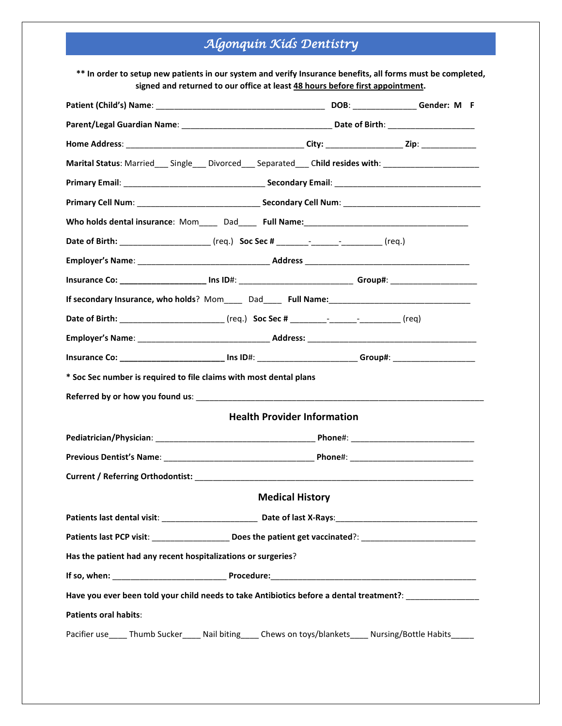# Algonquin Kids Dentistry

**\*\* In order to setup new patients in our system and verify Insurance benefits, all forms must be completed, signed and returned to our office at least 48 hours before first appointment.**

| Marital Status: Married____ Single____ Divorced____ Separated____ Child resides with:                          |  |  |  |
|----------------------------------------------------------------------------------------------------------------|--|--|--|
|                                                                                                                |  |  |  |
|                                                                                                                |  |  |  |
|                                                                                                                |  |  |  |
| Date of Birth: __________________________(req.) Soc Sec # ________-_________________(req.)                     |  |  |  |
|                                                                                                                |  |  |  |
| Insurance Co: _______________________ Ins ID#: _________________________________ Group#: _____________________ |  |  |  |
| If secondary Insurance, who holds? Mom______ Dad______ Full Name:___________________________________           |  |  |  |
| Date of Birth: __________________________(req.) Soc Sec # ________- _______- ________(req)                     |  |  |  |
|                                                                                                                |  |  |  |
| Insurance Co: _____________________________ Ins ID#: _________________________Group#: ________________________ |  |  |  |
| * Soc Sec number is required to file claims with most dental plans                                             |  |  |  |
|                                                                                                                |  |  |  |
| <b>Health Provider Information</b>                                                                             |  |  |  |
|                                                                                                                |  |  |  |
|                                                                                                                |  |  |  |
|                                                                                                                |  |  |  |
| <b>Medical History</b>                                                                                         |  |  |  |
|                                                                                                                |  |  |  |
|                                                                                                                |  |  |  |
| Has the patient had any recent hospitalizations or surgeries?                                                  |  |  |  |
|                                                                                                                |  |  |  |
| Have you ever been told your child needs to take Antibiotics before a dental treatment?: ____________________  |  |  |  |
| <b>Patients oral habits:</b>                                                                                   |  |  |  |
| Pacifier use_____ Thumb Sucker_____ Nail biting_____ Chews on toys/blankets_____ Nursing/Bottle Habits_____    |  |  |  |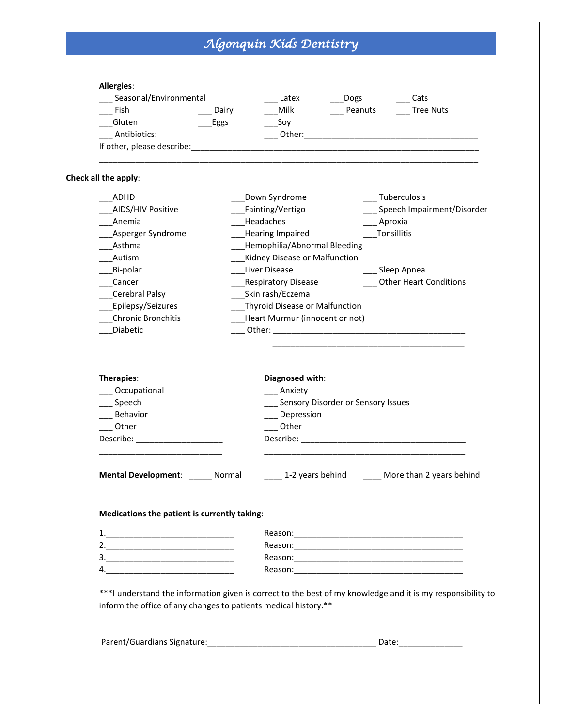# Algonquin Kids Dentistry

| Seasonal/Environmental                              | Latex<br>___Dogs<br>Cats                                                                                                                                                       |  |  |
|-----------------------------------------------------|--------------------------------------------------------------------------------------------------------------------------------------------------------------------------------|--|--|
| <b>Fish</b>                                         | Milk<br>Peanuts<br>___ Dairy<br><b>Tree Nuts</b>                                                                                                                               |  |  |
| Gluten                                              | $\_\$ {Soy}<br>$\rule{1em}{0.15mm}$ Eggs                                                                                                                                       |  |  |
| Antibiotics:                                        |                                                                                                                                                                                |  |  |
|                                                     |                                                                                                                                                                                |  |  |
| Check all the apply:                                |                                                                                                                                                                                |  |  |
| ADHD                                                | _Down Syndrome<br>____ Tuberculosis                                                                                                                                            |  |  |
| AIDS/HIV Positive                                   | __Fainting/Vertigo<br>__ Speech Impairment/Disorder                                                                                                                            |  |  |
| Anemia                                              | Headaches<br>___ Aproxia                                                                                                                                                       |  |  |
| <b>Asperger Syndrome</b>                            | Tonsillitis<br>Hearing Impaired                                                                                                                                                |  |  |
| Asthma                                              | Hemophilia/Abnormal Bleeding                                                                                                                                                   |  |  |
| Autism                                              | Kidney Disease or Malfunction                                                                                                                                                  |  |  |
| Bi-polar                                            | Liver Disease<br>__ Sleep Apnea                                                                                                                                                |  |  |
| Cancer                                              | ___ Other Heart Conditions<br>Respiratory Disease                                                                                                                              |  |  |
| Cerebral Palsy                                      | _Skin rash/Eczema                                                                                                                                                              |  |  |
| Epilepsy/Seizures                                   | Thyroid Disease or Malfunction                                                                                                                                                 |  |  |
| <b>Chronic Bronchitis</b>                           | Heart Murmur (innocent or not)                                                                                                                                                 |  |  |
| Diabetic                                            |                                                                                                                                                                                |  |  |
| ___ Occupational<br>___ Speech<br>Behavior<br>Other | ___ Anxiety<br>___ Sensory Disorder or Sensory Issues<br>_ Depression<br>Other                                                                                                 |  |  |
| Describe: ______________________                    |                                                                                                                                                                                |  |  |
| Mental Development: Normal                          | More than 2 years behind<br>1-2 years behind                                                                                                                                   |  |  |
| Medications the patient is currently taking:        |                                                                                                                                                                                |  |  |
|                                                     |                                                                                                                                                                                |  |  |
|                                                     |                                                                                                                                                                                |  |  |
| 2.                                                  |                                                                                                                                                                                |  |  |
|                                                     |                                                                                                                                                                                |  |  |
| 4.                                                  |                                                                                                                                                                                |  |  |
|                                                     | ***I understand the information given is correct to the best of my knowledge and it is my responsibility to<br>inform the office of any changes to patients medical history.** |  |  |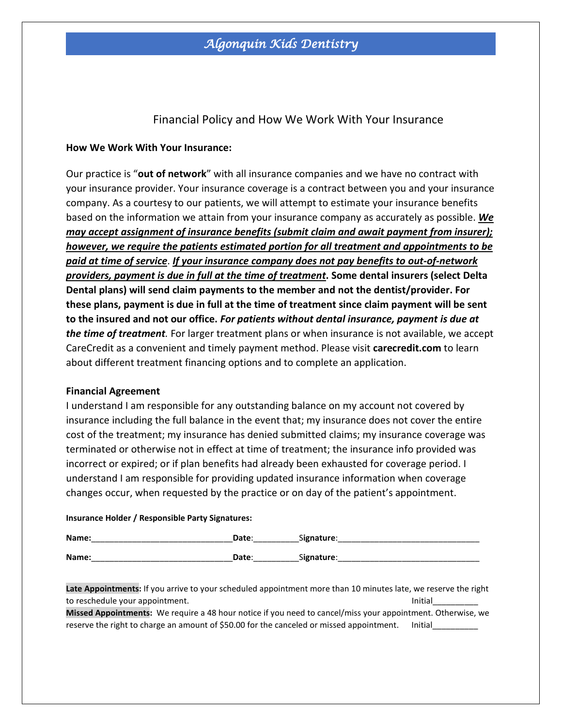# Financial Policy and How We Work With Your Insurance

# **How We Work With Your Insurance:**

Our practice is "**out of network**" with all insurance companies and we have no contract with your insurance provider. Your insurance coverage is a contract between you and your insurance company. As a courtesy to our patients, we will attempt to estimate your insurance benefits based on the information we attain from your insurance company as accurately as possible. *We may accept assignment of insurance benefits (submit claim and await payment from insurer); however, we require the patients estimated portion for all treatment and appointments to be paid at time of service*. *If your insurance company does not pay benefits to out-of-network providers, payment is due in full at the time of treatment***. Some dental insurers (select Delta Dental plans) will send claim payments to the member and not the dentist/provider. For these plans, payment is due in full at the time of treatment since claim payment will be sent to the insured and not our office.** *For patients without dental insurance, payment is due at the time of treatment.* For larger treatment plans or when insurance is not available, we accept CareCredit as a convenient and timely payment method. Please visit **carecredit.com** to learn about different treatment financing options and to complete an application.

## **Financial Agreement**

I understand I am responsible for any outstanding balance on my account not covered by insurance including the full balance in the event that; my insurance does not cover the entire cost of the treatment; my insurance has denied submitted claims; my insurance coverage was terminated or otherwise not in effect at time of treatment; the insurance info provided was incorrect or expired; or if plan benefits had already been exhausted for coverage period. I understand I am responsible for providing updated insurance information when coverage changes occur, when requested by the practice or on day of the patient's appointment.

## **Insurance Holder / Responsible Party Signatures:**

| Name: | Date: | Signature: |
|-------|-------|------------|
| Name: | Date: | Signature: |

**Late Appointments:** If you arrive to your scheduled appointment more than 10 minutes late, we reserve the right to reschedule your appointment. Initial

**Missed Appointments:** We require a 48 hour notice if you need to cancel/miss your appointment. Otherwise, we reserve the right to charge an amount of \$50.00 for the canceled or missed appointment. Initial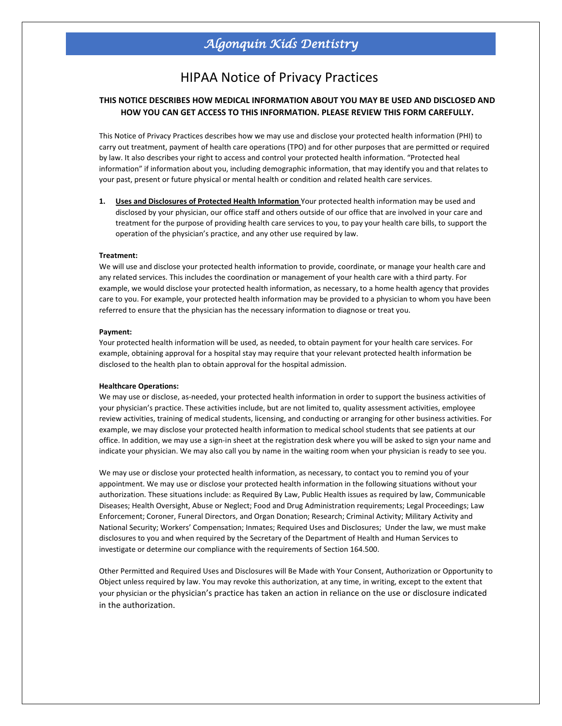# HIPAA Notice of Privacy Practices

### **THIS NOTICE DESCRIBES HOW MEDICAL INFORMATION ABOUT YOU MAY BE USED AND DISCLOSED AND HOW YOU CAN GET ACCESS TO THIS INFORMATION. PLEASE REVIEW THIS FORM CAREFULLY.**

This Notice of Privacy Practices describes how we may use and disclose your protected health information (PHI) to carry out treatment, payment of health care operations (TPO) and for other purposes that are permitted or required by law. It also describes your right to access and control your protected health information. "Protected heal information" if information about you, including demographic information, that may identify you and that relates to your past, present or future physical or mental health or condition and related health care services.

**1. Uses and Disclosures of Protected Health Information** Your protected health information may be used and disclosed by your physician, our office staff and others outside of our office that are involved in your care and treatment for the purpose of providing health care services to you, to pay your health care bills, to support the operation of the physician's practice, and any other use required by law.

#### **Treatment:**

We will use and disclose your protected health information to provide, coordinate, or manage your health care and any related services. This includes the coordination or management of your health care with a third party. For example, we would disclose your protected health information, as necessary, to a home health agency that provides care to you. For example, your protected health information may be provided to a physician to whom you have been referred to ensure that the physician has the necessary information to diagnose or treat you.

#### **Payment:**

Your protected health information will be used, as needed, to obtain payment for your health care services. For example, obtaining approval for a hospital stay may require that your relevant protected health information be disclosed to the health plan to obtain approval for the hospital admission.

#### **Healthcare Operations:**

We may use or disclose, as-needed, your protected health information in order to support the business activities of your physician's practice. These activities include, but are not limited to, quality assessment activities, employee review activities, training of medical students, licensing, and conducting or arranging for other business activities. For example, we may disclose your protected health information to medical school students that see patients at our office. In addition, we may use a sign-in sheet at the registration desk where you will be asked to sign your name and indicate your physician. We may also call you by name in the waiting room when your physician is ready to see you.

We may use or disclose your protected health information, as necessary, to contact you to remind you of your appointment. We may use or disclose your protected health information in the following situations without your authorization. These situations include: as Required By Law, Public Health issues as required by law, Communicable Diseases; Health Oversight, Abuse or Neglect; Food and Drug Administration requirements; Legal Proceedings; Law Enforcement; Coroner, Funeral Directors, and Organ Donation; Research; Criminal Activity; Military Activity and National Security; Workers' Compensation; Inmates; Required Uses and Disclosures; Under the law, we must make disclosures to you and when required by the Secretary of the Department of Health and Human Services to investigate or determine our compliance with the requirements of Section 164.500.

Other Permitted and Required Uses and Disclosures will Be Made with Your Consent, Authorization or Opportunity to Object unless required by law. You may revoke this authorization, at any time, in writing, except to the extent that your physician or the physician's practice has taken an action in reliance on the use or disclosure indicated in the authorization.